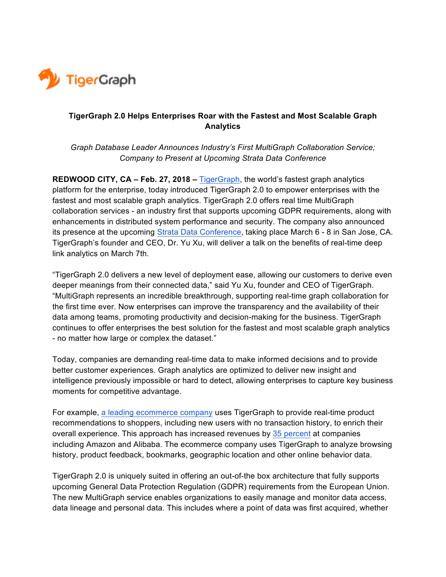

## **TigerGraph 2.0 Helps Enterprises Roar with the Fastest and Most Scalable Graph Analytics**

*Graph Database Leader Announces Industry's First MultiGraph Collaboration Service; Company to Present at Upcoming Strata Data Conference* 

**REDWOOD CITY, CA – Feb. 27, 2018 –** TigerGraph, the world's fastest graph analytics platform for the enterprise, today introduced TigerGraph 2.0 to empower enterprises with the fastest and most scalable graph analytics. TigerGraph 2.0 offers real time MultiGraph collaboration services - an industry first that supports upcoming GDPR requirements, along with enhancements in distributed system performance and security. The company also announced its presence at the upcoming Strata Data Conference, taking place March 6 - 8 in San Jose, CA. TigerGraph's founder and CEO, Dr. Yu Xu, will deliver a talk on the benefits of real-time deep link analytics on March 7th.

"TigerGraph 2.0 delivers a new level of deployment ease, allowing our customers to derive even deeper meanings from their connected data," said Yu Xu, founder and CEO of TigerGraph. "MultiGraph represents an incredible breakthrough, supporting real-time graph collaboration for the first time ever. Now enterprises can improve the transparency and the availability of their data among teams, promoting productivity and decision-making for the business. TigerGraph continues to offer enterprises the best solution for the fastest and most scalable graph analytics - no matter how large or complex the dataset."

Today, companies are demanding real-time data to make informed decisions and to provide better customer experiences. Graph analytics are optimized to deliver new insight and intelligence previously impossible or hard to detect, allowing enterprises to capture key business moments for competitive advantage.

For example, a leading ecommerce company uses TigerGraph to provide real-time product recommendations to shoppers, including new users with no transaction history, to enrich their overall experience. This approach has increased revenues by 35 percent at companies including Amazon and Alibaba. The ecommerce company uses TigerGraph to analyze browsing history, product feedback, bookmarks, geographic location and other online behavior data.

TigerGraph 2.0 is uniquely suited in offering an out-of-the box architecture that fully supports upcoming General Data Protection Regulation (GDPR) requirements from the European Union. The new MultiGraph service enables organizations to easily manage and monitor data access, data lineage and personal data. This includes where a point of data was first acquired, whether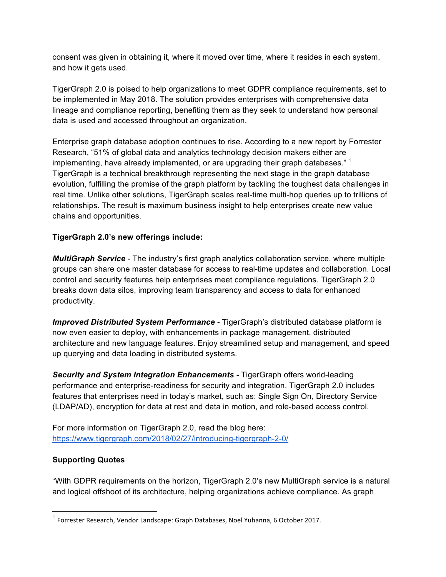consent was given in obtaining it, where it moved over time, where it resides in each system, and how it gets used.

TigerGraph 2.0 is poised to help organizations to meet GDPR compliance requirements, set to be implemented in May 2018. The solution provides enterprises with comprehensive data lineage and compliance reporting, benefiting them as they seek to understand how personal data is used and accessed throughout an organization.

Enterprise graph database adoption continues to rise. According to a new report by Forrester Research, "51% of global data and analytics technology decision makers either are implementing, have already implemented, or are upgrading their graph databases."  $1$ TigerGraph is a technical breakthrough representing the next stage in the graph database evolution, fulfilling the promise of the graph platform by tackling the toughest data challenges in real time. Unlike other solutions, TigerGraph scales real-time multi-hop queries up to trillions of relationships. The result is maximum business insight to help enterprises create new value chains and opportunities.

# **TigerGraph 2.0's new offerings include:**

*MultiGraph Service -* The industry's first graph analytics collaboration service, where multiple groups can share one master database for access to real-time updates and collaboration. Local control and security features help enterprises meet compliance regulations. TigerGraph 2.0 breaks down data silos, improving team transparency and access to data for enhanced productivity.

*Improved Distributed System Performance* **-** TigerGraph's distributed database platform is now even easier to deploy, with enhancements in package management, distributed architecture and new language features. Enjoy streamlined setup and management, and speed up querying and data loading in distributed systems.

*Security and System Integration Enhancements* **-** TigerGraph offers world-leading performance and enterprise-readiness for security and integration. TigerGraph 2.0 includes features that enterprises need in today's market, such as: Single Sign On, Directory Service (LDAP/AD), encryption for data at rest and data in motion, and role-based access control.

For more information on TigerGraph 2.0, read the blog here: https://www.tigergraph.com/2018/02/27/introducing-tigergraph-2-0/

### **Supporting Quotes**

"With GDPR requirements on the horizon, TigerGraph 2.0's new MultiGraph service is a natural and logical offshoot of its architecture, helping organizations achieve compliance. As graph

 $<sup>1</sup>$  Forrester Research, Vendor Landscape: Graph Databases, Noel Yuhanna, 6 October 2017.</sup>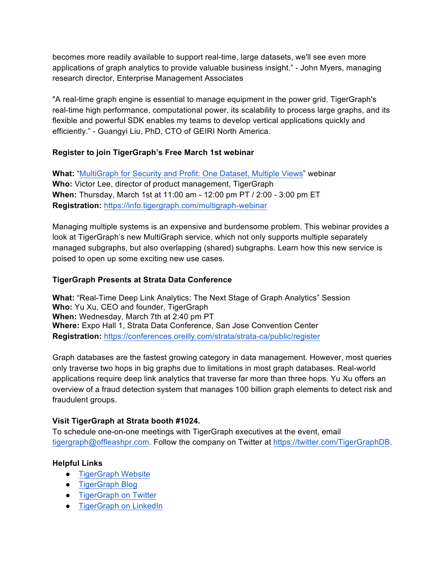becomes more readily available to support real-time, large datasets, we'll see even more applications of graph analytics to provide valuable business insight." - John Myers, managing research director, Enterprise Management Associates

"A real-time graph engine is essential to manage equipment in the power grid. TigerGraph's real-time high performance, computational power, its scalability to process large graphs, and its flexible and powerful SDK enables my teams to develop vertical applications quickly and efficiently." - Guangyi Liu, PhD, CTO of GEIRI North America.

### **Register to join TigerGraph's Free March 1st webinar**

**What:** "MultiGraph for Security and Profit: One Dataset, Multiple Views" webinar **Who:** Victor Lee, director of product management, TigerGraph **When:** Thursday, March 1st at 11:00 am - 12:00 pm PT / 2:00 - 3:00 pm ET **Registration:** https://info.tigergraph.com/multigraph-webinar

Managing multiple systems is an expensive and burdensome problem. This webinar provides a look at TigerGraph's new MultiGraph service, which not only supports multiple separately managed subgraphs, but also overlapping (shared) subgraphs. Learn how this new service is poised to open up some exciting new use cases.

### **TigerGraph Presents at Strata Data Conference**

**What:** "Real-Time Deep Link Analytics: The Next Stage of Graph Analytics" Session **Who:** Yu Xu, CEO and founder, TigerGraph **When:** Wednesday, March 7th at 2:40 pm PT **Where:** Expo Hall 1, Strata Data Conference, San Jose Convention Center **Registration:** https://conferences.oreilly.com/strata/strata-ca/public/register

Graph databases are the fastest growing category in data management. However, most queries only traverse two hops in big graphs due to limitations in most graph databases. Real-world applications require deep link analytics that traverse far more than three hops. Yu Xu offers an overview of a fraud detection system that manages 100 billion graph elements to detect risk and fraudulent groups.

### **Visit TigerGraph at Strata booth #1024.**

To schedule one-on-one meetings with TigerGraph executives at the event, email tigergraph@offleashpr.com. Follow the company on Twitter at https://twitter.com/TigerGraphDB.

### **Helpful Links**

- TigerGraph Website
- TigerGraph Blog
- TigerGraph on Twitter
- TigerGraph on LinkedIn